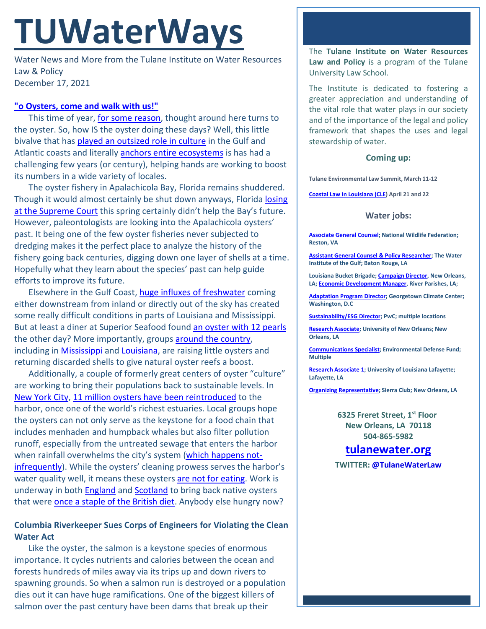# **TUWaterWays**

Water News and More from the Tulane Institute on Water Resources Law & Policy December 17, 2021

### **["o Oysters, come and walk with us!"](https://poets.org/poem/walrus-and-carpenter)**

This time of year, [for some reason,](https://www.louisianacookin.com/creole-baked-oyster-dressing/) thought around here turns to the oyster. So, how IS the oyster doing these days? Well, this little bivalve that has [played an outsized role in culture](https://www.nytimes.com/2021/12/03/travel/oysters-maryland-virginia-african-american-history.html) in the Gulf and Atlantic coasts and literally **anchors entire ecosystems** is has had a challenging few years (or century), helping hands are working to boost its numbers in a wide variety of locales.

The oyster fishery in Apalachicola Bay, Florida remains shuddered. Though it would almost certainly be shut down anyways, Florida [losing](https://www.scotusblog.com/2021/04/no-april-fools-joke-for-florida-water-rights-case-is-dismissed/)  [at the Supreme Court](https://www.scotusblog.com/2021/04/no-april-fools-joke-for-florida-water-rights-case-is-dismissed/) this spring certainly didn't help the Bay's future. However, paleontologists are looking into the Apalachicola oysters' past. It being one of the few oyster fisheries never subjected to dredging makes it the perfect place to analyze the history of the fishery going back centuries, digging down one layer of shells at a time. Hopefully what they learn about the species' past can help guide efforts to improve its future.

Elsewhere in the Gulf Coast[, huge influxes of freshwater](https://www.al.com/news/2021/11/baby-oysters-are-dying-on-mississippis-coast-why-are-they-surviving-in-alabama.html) coming either downstream from inland or directly out of the sky has created some really difficult conditions in parts of Louisiana and Mississippi. But at least a diner at Superior Seafood found [an oyster with 12 pearls](https://torontosun.com/news/weird/new-orleans-woman-finds-12-pearls-in-her-oyster-dinner) the other day? More importantly, groups [around the country,](https://thehill.com/changing-america/sustainability/environment/586229-how-volunteers-are-rescuing-coastal-america-one) including in [Mississippi](https://apnews.com/article/science-lifestyle-business-fish-gardening-ca5a111f4b2185f8ac07b81a6e15d7ed) and [Louisiana,](https://www.arcgis.com/apps/MapJournal/index.html?appid=ae976afc10e6400d83f6a2b6ac24e0ed) are raising little oysters and returning discarded shells to give natural oyster reefs a boost.

Additionally, a couple of formerly great centers of oyster "culture" are working to bring their populations back to sustainable levels. In [New York City,](https://www.youtube.com/watch?v=qeilxKluTCU) [11 million oysters have been reintroduced](https://news.yahoo.com/11-million-oysters-york-harbor-191406413.html) to the harbor, once one of the world's richest estuaries. Local groups hope the oysters can not only serve as the keystone for a food chain that includes menhaden and humpback whales but also filter pollution runoff, especially from the untreated sewage that enters the harbor when rainfall overwhelms the city's system [\(which happens not](https://www.nytimes.com/2021/09/02/climate/new-york-rain-climate-change.html)[infrequently\)](https://www.nytimes.com/2021/09/02/climate/new-york-rain-climate-change.html). While the oysters' cleaning prowess serves the harbor's water quality well, it means these oysters [are not for eating.](https://www.youtube.com/watch?v=dY4V3UUY95A) Work is underway in both [England](https://www.nature.com/articles/d41586-021-03573-5) and [Scotland](https://www.cnn.com/2021/12/08/uk/oysters-dornoch-firth-scotland-glenmorangie-c2e-spc-intl/index.html) to bring back native oysters that were **once a staple of the British diet**. Anybody else hungry now?

## **Columbia Riverkeeper Sues Corps of Engineers for Violating the Clean Water Act**

Like the oyster, the salmon is a keystone species of enormous importance. It cycles nutrients and calories between the ocean and forests hundreds of miles away via its trips up and down rivers to spawning grounds. So when a salmon run is destroyed or a population dies out it can have huge ramifications. One of the biggest killers of salmon over the past century have been dams that break up their

The **Tulane Institute on Water Resources Law and Policy** is a program of the Tulane University Law School.

The Institute is dedicated to fostering a greater appreciation and understanding of the vital role that water plays in our society and of the importance of the legal and policy framework that shapes the uses and legal stewardship of water.

#### **Coming up:**

**Tulane Environmental Law Summit, March 11-12**

**[Coastal Law In Louisiana \(CLE\)](https://www.theseminargroup.net/seminardetl.aspx?id=22.shrNO) April 21 and 22**

#### **Water jobs:**

**[Associate General Counsel;](https://recruiting.ultipro.com/NAT1047NWF/JobBoard/1ca8346a-33cc-401d-90d9-d7f752fdfd7d/OpportunityDetail?opportunityId=feefbaf3-4051-4f2a-84e3-ea4c85a66261) National Wildlife Federation; Reston, VA**

**[Assistant General Counsel & Policy Researcher;](https://workforcenow.adp.com/mascsr/default/mdf/recruitment/recruitment.html?cid=cfe9eb33-0f69-467c-bb2a-1bd0ea7c0cf1&ccId=19000101_000001&jobId=410130&lang=en_US&source=CC4) The Water Institute of the Gulf; Baton Rouge, LA** 

**Louisiana Bucket Brigade[; Campaign Director,](https://labucketbrigade.org/now-hiring-campaign-director/) New Orleans, LA[; Economic Development Manager,](https://labucketbrigade.org/now-hiring-economic-development-manager/) River Parishes, LA;** 

**[Adaptation Program Director;](https://georgetown.wd1.myworkdayjobs.com/en-US/Georgetown_Admin_Careers/job/Law-Center/Adaptation-Program-Director--Georgetown-Climate-Center---Georgetown-University-Law-Center_JR10781) Georgetown Climate Center; Washington, D.C**

**[Sustainability/ESG Director;](https://jobs.us.pwc.com/job/-/-/932/8531402784?utm_source=linkedin.com&utm_campaign=core_media&utm_medium=social_media&utm_content=job_posting&ss=paid&dclid=CIHN-by5yvMCFUvrwAodK4kFqw) PwC; multiple locations**

**[Research Associate;](https://ulsuno.wd1.myworkdayjobs.com/en-US/UniversityOfNewOrleans/job/New-Orleans-La/Research-Associate-1_R-000365) University of New Orleans; New Orleans, LA**

**[Communications Specialist;](https://www.edf.org/jobs/communications-specialist-coastal-resilience) Environmental Defense Fund; Multiple**

**[Research Associate 1;](https://louisiana.csod.com/ux/ats/careersite/1/home/requisition/1576?c=louisiana) University of Louisiana Lafayette; Lafayette, LA**

**[Organizing Representative;](https://phf.tbe.taleo.net/phf01/ats/careers/v2/viewRequisition?org=SIERRACLUB&cws=39&rid=1816) Sierra Club; New Orleans, LA**

**6325 Freret Street, 1st Floor New Orleans, LA 70118 504-865-5982**

# **tulanewater.org**

**TWITTER: [@TulaneWaterLaw](http://www.twitter.com/TulaneWaterLaw)**